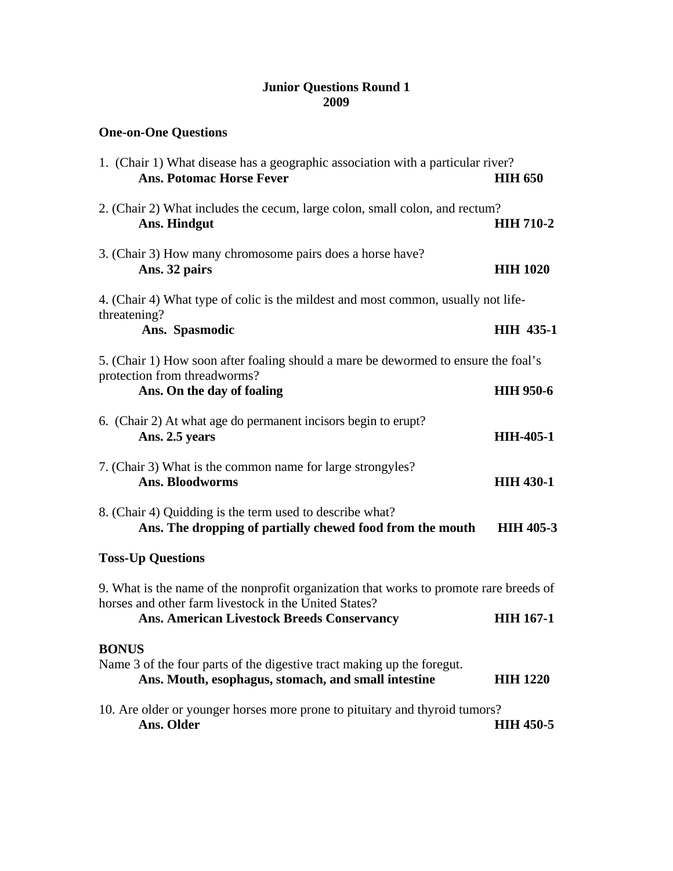## **Junior Questions Round 1 2009**

**One-on-One Questions** 

| 1. (Chair 1) What disease has a geographic association with a particular river?<br><b>Ans. Potomac Horse Fever</b>                              | <b>HIH 650</b>   |  |
|-------------------------------------------------------------------------------------------------------------------------------------------------|------------------|--|
| 2. (Chair 2) What includes the cecum, large colon, small colon, and rectum?<br>Ans. Hindgut                                                     | <b>HIH 710-2</b> |  |
| 3. (Chair 3) How many chromosome pairs does a horse have?<br>Ans. 32 pairs                                                                      | <b>HIH 1020</b>  |  |
| 4. (Chair 4) What type of colic is the mildest and most common, usually not life-<br>threatening?                                               |                  |  |
| Ans. Spasmodic                                                                                                                                  | <b>HIH 435-1</b> |  |
| 5. (Chair 1) How soon after foaling should a mare be dewormed to ensure the foal's<br>protection from threadworms?                              |                  |  |
| Ans. On the day of foaling                                                                                                                      | <b>HIH 950-6</b> |  |
| 6. (Chair 2) At what age do permanent incisors begin to erupt?<br>Ans. 2.5 years                                                                | <b>HIH-405-1</b> |  |
| 7. (Chair 3) What is the common name for large strongyles?<br><b>Ans. Bloodworms</b>                                                            | <b>HIH 430-1</b> |  |
| 8. (Chair 4) Quidding is the term used to describe what?<br>Ans. The dropping of partially chewed food from the mouth                           | <b>HIH 405-3</b> |  |
| <b>Toss-Up Questions</b>                                                                                                                        |                  |  |
| 9. What is the name of the nonprofit organization that works to promote rare breeds of<br>horses and other farm livestock in the United States? |                  |  |
| Ans. American Livestock Breeds Conservancy                                                                                                      | <b>HIH 167-1</b> |  |
| <b>BONUS</b><br>Name 3 of the four parts of the digestive tract making up the foregut.                                                          |                  |  |
| Ans. Mouth, esophagus, stomach, and small intestine                                                                                             | <b>HIH 1220</b>  |  |
| 10. Are older or younger horses more prone to pituitary and thyroid tumors?<br>Ans. Older                                                       | <b>HIH 450-5</b> |  |